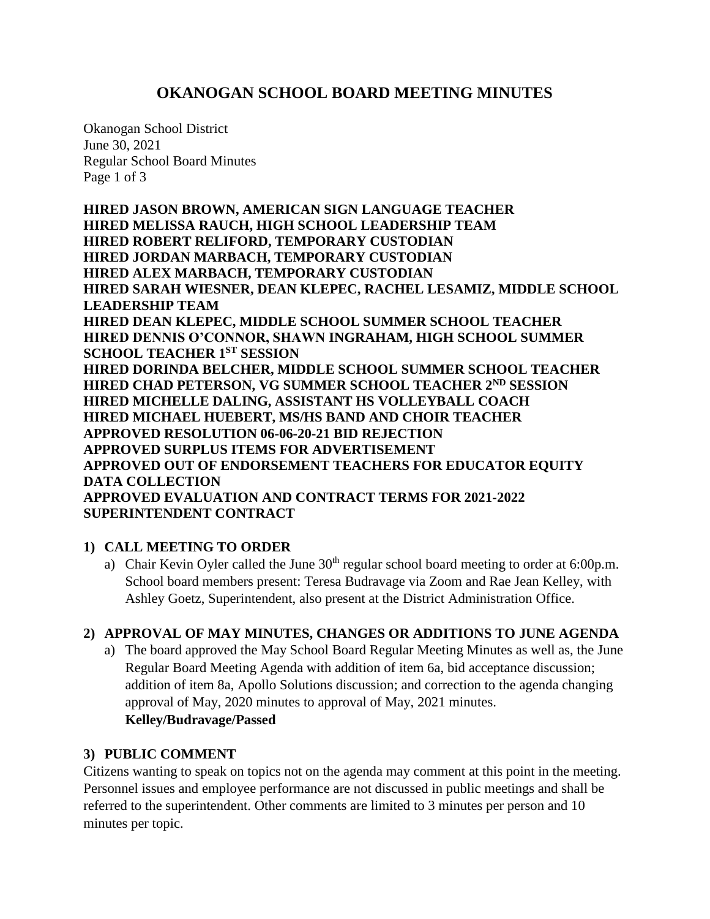## **OKANOGAN SCHOOL BOARD MEETING MINUTES**

Okanogan School District June 30, 2021 Regular School Board Minutes Page 1 of 3

**HIRED JASON BROWN, AMERICAN SIGN LANGUAGE TEACHER HIRED MELISSA RAUCH, HIGH SCHOOL LEADERSHIP TEAM HIRED ROBERT RELIFORD, TEMPORARY CUSTODIAN HIRED JORDAN MARBACH, TEMPORARY CUSTODIAN HIRED ALEX MARBACH, TEMPORARY CUSTODIAN HIRED SARAH WIESNER, DEAN KLEPEC, RACHEL LESAMIZ, MIDDLE SCHOOL LEADERSHIP TEAM HIRED DEAN KLEPEC, MIDDLE SCHOOL SUMMER SCHOOL TEACHER HIRED DENNIS O'CONNOR, SHAWN INGRAHAM, HIGH SCHOOL SUMMER SCHOOL TEACHER 1ST SESSION HIRED DORINDA BELCHER, MIDDLE SCHOOL SUMMER SCHOOL TEACHER HIRED CHAD PETERSON, VG SUMMER SCHOOL TEACHER 2ND SESSION HIRED MICHELLE DALING, ASSISTANT HS VOLLEYBALL COACH HIRED MICHAEL HUEBERT, MS/HS BAND AND CHOIR TEACHER APPROVED RESOLUTION 06-06-20-21 BID REJECTION APPROVED SURPLUS ITEMS FOR ADVERTISEMENT APPROVED OUT OF ENDORSEMENT TEACHERS FOR EDUCATOR EQUITY DATA COLLECTION APPROVED EVALUATION AND CONTRACT TERMS FOR 2021-2022 SUPERINTENDENT CONTRACT**

## **1) CALL MEETING TO ORDER**

a) Chair Kevin Oyler called the June  $30<sup>th</sup>$  regular school board meeting to order at 6:00p.m. School board members present: Teresa Budravage via Zoom and Rae Jean Kelley, with Ashley Goetz, Superintendent, also present at the District Administration Office.

## **2) APPROVAL OF MAY MINUTES, CHANGES OR ADDITIONS TO JUNE AGENDA**

a) The board approved the May School Board Regular Meeting Minutes as well as, the June Regular Board Meeting Agenda with addition of item 6a, bid acceptance discussion; addition of item 8a, Apollo Solutions discussion; and correction to the agenda changing approval of May, 2020 minutes to approval of May, 2021 minutes. **Kelley/Budravage/Passed**

#### **3) PUBLIC COMMENT**

Citizens wanting to speak on topics not on the agenda may comment at this point in the meeting. Personnel issues and employee performance are not discussed in public meetings and shall be referred to the superintendent. Other comments are limited to 3 minutes per person and 10 minutes per topic.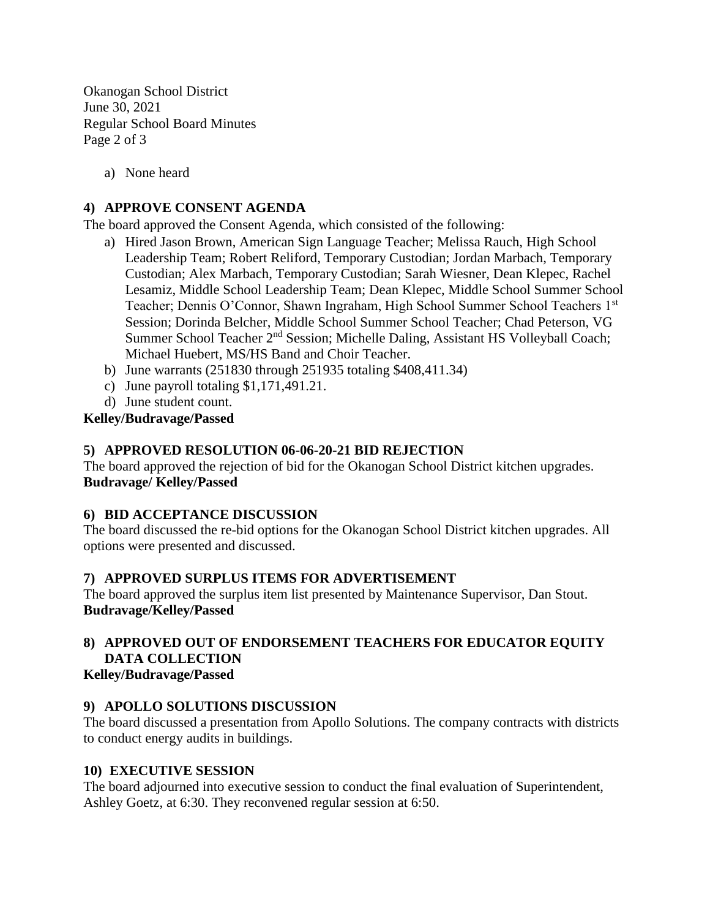Okanogan School District June 30, 2021 Regular School Board Minutes Page 2 of 3

a) None heard

#### **4) APPROVE CONSENT AGENDA**

The board approved the Consent Agenda, which consisted of the following:

- a) Hired Jason Brown, American Sign Language Teacher; Melissa Rauch, High School Leadership Team; Robert Reliford, Temporary Custodian; Jordan Marbach, Temporary Custodian; Alex Marbach, Temporary Custodian; Sarah Wiesner, Dean Klepec, Rachel Lesamiz, Middle School Leadership Team; Dean Klepec, Middle School Summer School Teacher; Dennis O'Connor, Shawn Ingraham, High School Summer School Teachers 1st Session; Dorinda Belcher, Middle School Summer School Teacher; Chad Peterson, VG Summer School Teacher 2<sup>nd</sup> Session; Michelle Daling, Assistant HS Volleyball Coach; Michael Huebert, MS/HS Band and Choir Teacher.
- b) June warrants (251830 through 251935 totaling \$408,411.34)
- c) June payroll totaling \$1,171,491.21.
- d) June student count.

#### **Kelley/Budravage/Passed**

#### **5) APPROVED RESOLUTION 06-06-20-21 BID REJECTION**

The board approved the rejection of bid for the Okanogan School District kitchen upgrades. **Budravage/ Kelley/Passed**

#### **6) BID ACCEPTANCE DISCUSSION**

The board discussed the re-bid options for the Okanogan School District kitchen upgrades. All options were presented and discussed.

#### **7) APPROVED SURPLUS ITEMS FOR ADVERTISEMENT**

The board approved the surplus item list presented by Maintenance Supervisor, Dan Stout. **Budravage/Kelley/Passed**

# **8) APPROVED OUT OF ENDORSEMENT TEACHERS FOR EDUCATOR EQUITY DATA COLLECTION**

### **Kelley/Budravage/Passed**

## **9) APOLLO SOLUTIONS DISCUSSION**

The board discussed a presentation from Apollo Solutions. The company contracts with districts to conduct energy audits in buildings.

#### **10) EXECUTIVE SESSION**

The board adjourned into executive session to conduct the final evaluation of Superintendent, Ashley Goetz, at 6:30. They reconvened regular session at 6:50.